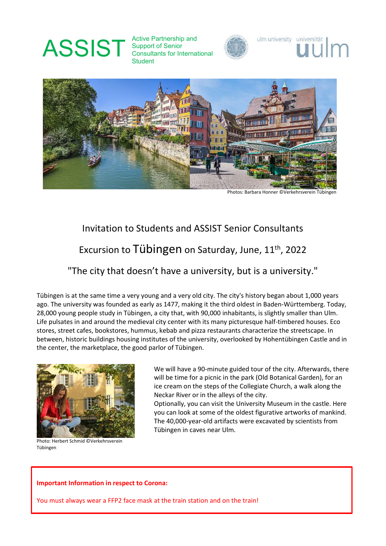# ASSIST Active Partnership and<br>Consultants for Internal

Support of Senior Consultants for International Student





Photos: Barbara Honner ©Verkehrsverein Tübingen

ulm university universität

# Invitation to Students and ASSIST Senior Consultants

## Excursion to Tübingen on Saturday, June, 11<sup>th</sup>, 2022

### "The city that doesn't have a university, but is a university."

Tübingen is at the same time a very young and a very old city. The city's history began about 1,000 years ago. The university was founded as early as 1477, making it the third oldest in Baden-Württemberg. Today, 28,000 young people study in Tübingen, a city that, with 90,000 inhabitants, is slightly smaller than Ulm. Life pulsates in and around the medieval city center with its many picturesque half-timbered houses. Eco stores, street cafes, bookstores, hummus, kebab and pizza restaurants characterize the streetscape. In between, historic buildings housing institutes of the university, overlooked by Hohentübingen Castle and in the center, the marketplace, the good parlor of Tübingen.



Photo: Herbert Schmid ©Verkehrsverein Tübingen

We will have a 90-minute guided tour of the city. Afterwards, there will be time for a picnic in the park (Old Botanical Garden), for an ice cream on the steps of the Collegiate Church, a walk along the Neckar River or in the alleys of the city.

Optionally, you can visit the University Museum in the castle. Here you can look at some of the oldest figurative artworks of mankind. The 40,000-year-old artifacts were excavated by scientists from Tübingen in caves near Ulm.

#### Important Information in respect to Corona:

You must always wear a FFP2 face mask at the train station and on the train!